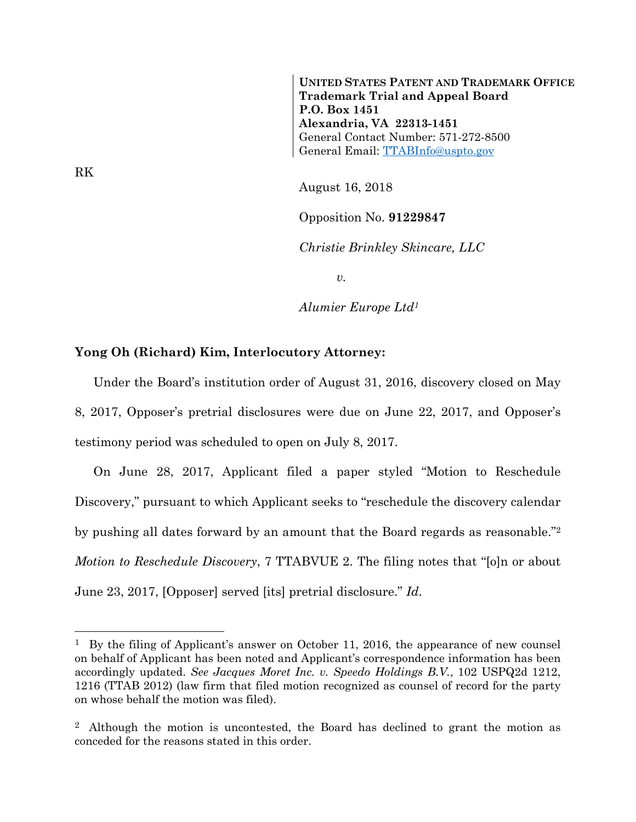**UNITED STATES PATENT AND TRADEMARK OFFICE Trademark Trial and Appeal Board P.O. Box 1451 Alexandria, VA 22313-1451**  General Contact Number: 571-272-8500 General Email: TTABInfo@uspto.gov

August 16, 2018

Opposition No. **91229847**

*Christie Brinkley Skincare, LLC* 

*v.* 

*Alumier Europe Ltd1*

## **Yong Oh (Richard) Kim, Interlocutory Attorney:**

Under the Board's institution order of August 31, 2016, discovery closed on May 8, 2017, Opposer's pretrial disclosures were due on June 22, 2017, and Opposer's testimony period was scheduled to open on July 8, 2017.

On June 28, 2017, Applicant filed a paper styled "Motion to Reschedule Discovery," pursuant to which Applicant seeks to "reschedule the discovery calendar by pushing all dates forward by an amount that the Board regards as reasonable."2 *Motion to Reschedule Discovery*, 7 TTABVUE 2. The filing notes that "[o]n or about June 23, 2017, [Opposer] served [its] pretrial disclosure." *Id*.

RK

1

<sup>&</sup>lt;sup>1</sup> By the filing of Applicant's answer on October 11, 2016, the appearance of new counsel on behalf of Applicant has been noted and Applicant's correspondence information has been accordingly updated. *See Jacques Moret Inc. v. Speedo Holdings B.V.*, 102 USPQ2d 1212, 1216 (TTAB 2012) (law firm that filed motion recognized as counsel of record for the party on whose behalf the motion was filed).

<sup>2</sup> Although the motion is uncontested, the Board has declined to grant the motion as conceded for the reasons stated in this order.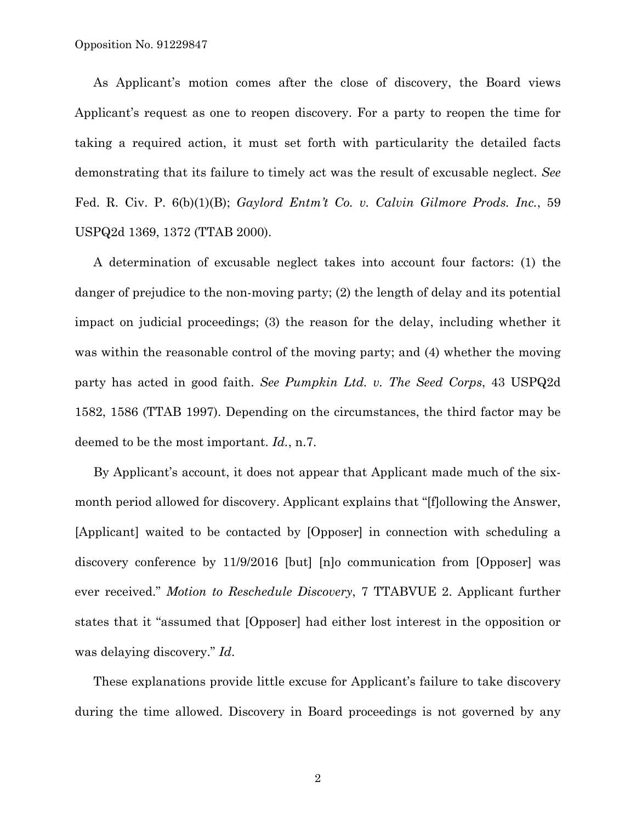As Applicant's motion comes after the close of discovery, the Board views Applicant's request as one to reopen discovery. For a party to reopen the time for taking a required action, it must set forth with particularity the detailed facts demonstrating that its failure to timely act was the result of excusable neglect. *See* Fed. R. Civ. P. 6(b)(1)(B); *Gaylord Entm't Co. v. Calvin Gilmore Prods. Inc.*, 59 USPQ2d 1369, 1372 (TTAB 2000).

A determination of excusable neglect takes into account four factors: (1) the danger of prejudice to the non-moving party; (2) the length of delay and its potential impact on judicial proceedings; (3) the reason for the delay, including whether it was within the reasonable control of the moving party; and (4) whether the moving party has acted in good faith. *See Pumpkin Ltd. v. The Seed Corps*, 43 USPQ2d 1582, 1586 (TTAB 1997). Depending on the circumstances, the third factor may be deemed to be the most important. *Id.*, n.7.

By Applicant's account, it does not appear that Applicant made much of the sixmonth period allowed for discovery. Applicant explains that "[f]ollowing the Answer, [Applicant] waited to be contacted by [Opposer] in connection with scheduling a discovery conference by 11/9/2016 [but] [n]o communication from [Opposer] was ever received." *Motion to Reschedule Discovery*, 7 TTABVUE 2. Applicant further states that it "assumed that [Opposer] had either lost interest in the opposition or was delaying discovery." *Id*.

These explanations provide little excuse for Applicant's failure to take discovery during the time allowed. Discovery in Board proceedings is not governed by any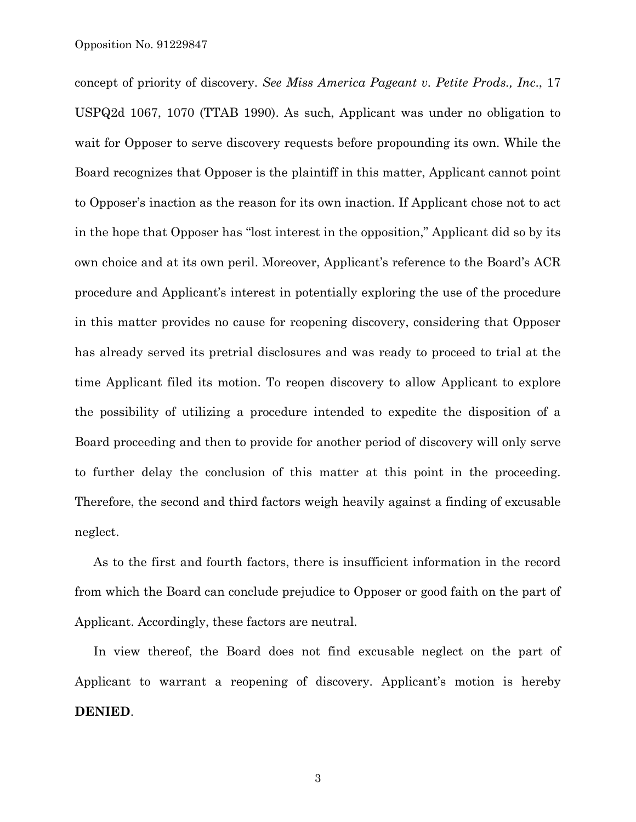concept of priority of discovery. *See Miss America Pageant v. Petite Prods., Inc*., 17 USPQ2d 1067, 1070 (TTAB 1990). As such, Applicant was under no obligation to wait for Opposer to serve discovery requests before propounding its own. While the Board recognizes that Opposer is the plaintiff in this matter, Applicant cannot point to Opposer's inaction as the reason for its own inaction. If Applicant chose not to act in the hope that Opposer has "lost interest in the opposition," Applicant did so by its own choice and at its own peril. Moreover, Applicant's reference to the Board's ACR procedure and Applicant's interest in potentially exploring the use of the procedure in this matter provides no cause for reopening discovery, considering that Opposer has already served its pretrial disclosures and was ready to proceed to trial at the time Applicant filed its motion. To reopen discovery to allow Applicant to explore the possibility of utilizing a procedure intended to expedite the disposition of a Board proceeding and then to provide for another period of discovery will only serve to further delay the conclusion of this matter at this point in the proceeding. Therefore, the second and third factors weigh heavily against a finding of excusable neglect.

As to the first and fourth factors, there is insufficient information in the record from which the Board can conclude prejudice to Opposer or good faith on the part of Applicant. Accordingly, these factors are neutral.

In view thereof, the Board does not find excusable neglect on the part of Applicant to warrant a reopening of discovery. Applicant's motion is hereby **DENIED**.

3